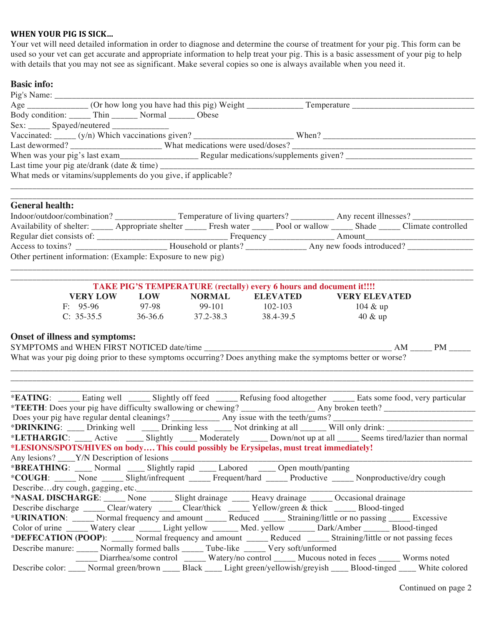## WHEN YOUR PIG IS SICK...

Your vet will need detailed information in order to diagnose and determine the course of treatment for your pig. This form can be used so your vet can get accurate and appropriate information to help treat your pig. This is a basic assessment of your pig to help with details that you may not see as significant. Make several copies so one is always available when you need it.

## **Basic info:**

| Last time your pig ate/drank (date $\&$ time)                                                                                  |  |  |  |  |  |  |  |  |  |
|--------------------------------------------------------------------------------------------------------------------------------|--|--|--|--|--|--|--|--|--|
|                                                                                                                                |  |  |  |  |  |  |  |  |  |
|                                                                                                                                |  |  |  |  |  |  |  |  |  |
| What meds or vitamins/supplements do you give, if applicable?                                                                  |  |  |  |  |  |  |  |  |  |
|                                                                                                                                |  |  |  |  |  |  |  |  |  |
|                                                                                                                                |  |  |  |  |  |  |  |  |  |
| <b>General health:</b>                                                                                                         |  |  |  |  |  |  |  |  |  |
|                                                                                                                                |  |  |  |  |  |  |  |  |  |
|                                                                                                                                |  |  |  |  |  |  |  |  |  |
| Availability of shelter: _____ Appropriate shelter _____ Fresh water _____ Pool or wallow _____ Shade _____ Climate controlled |  |  |  |  |  |  |  |  |  |
|                                                                                                                                |  |  |  |  |  |  |  |  |  |

| Think I TO D TERM EIGHT CAR (Feeding) Cref y o hours and document film |         |               |                 |                      |  |  |  |
|------------------------------------------------------------------------|---------|---------------|-----------------|----------------------|--|--|--|
| <b>VERY LOW</b>                                                        | LOW     | <b>NORMAL</b> | <b>ELEVATED</b> | <b>VERY ELEVATED</b> |  |  |  |
| $F: 95-96$                                                             | 97-98   | 99-101        | $102 - 103$     | $104 \& up$          |  |  |  |
| $C: 35-35.5$                                                           | 36-36.6 | 37.2-38.3     | 38.4-39.5       | $40 \& up$           |  |  |  |

## **Onset of illness and symptoms:**

| SYMPTOMS and WHEN FIRST NOTICED date/time                                                                   | <b>PM</b> |
|-------------------------------------------------------------------------------------------------------------|-----------|
| What was your pig doing prior to these symptoms occurring? Does anything make the symptoms better or worse? |           |

\_\_\_\_\_\_\_\_\_\_\_\_\_\_\_\_\_\_\_\_\_\_\_\_\_\_\_\_\_\_\_\_\_\_\_\_\_\_\_\_\_\_\_\_\_\_\_\_\_\_\_\_\_\_\_\_\_\_\_\_\_\_\_\_\_\_\_\_\_\_\_\_\_\_\_\_\_\_\_\_\_\_\_\_\_\_\_\_\_\_\_\_\_\_\_\_\_\_\_\_\_\_\_\_\_\_ \_\_\_\_\_\_\_\_\_\_\_\_\_\_\_\_\_\_\_\_\_\_\_\_\_\_\_\_\_\_\_\_\_\_\_\_\_\_\_\_\_\_\_\_\_\_\_\_\_\_\_\_\_\_\_\_\_\_\_\_\_\_\_\_\_\_\_\_\_\_\_\_\_\_\_\_\_\_\_\_\_\_\_\_\_\_\_\_\_\_\_\_\_\_\_\_\_\_\_\_\_\_\_\_\_\_

|                                                                                                                   |  |  |  |                                                                                               |  | * <b>EATING</b> : _____ Eating well ______ Slightly off feed ______ Refusing food altogether ______ Eats some food, very particular |  |
|-------------------------------------------------------------------------------------------------------------------|--|--|--|-----------------------------------------------------------------------------------------------|--|-------------------------------------------------------------------------------------------------------------------------------------|--|
|                                                                                                                   |  |  |  |                                                                                               |  |                                                                                                                                     |  |
|                                                                                                                   |  |  |  |                                                                                               |  |                                                                                                                                     |  |
|                                                                                                                   |  |  |  |                                                                                               |  | * <b>DRINKING</b> : ____ Drinking well ____ Drinking less ____ Not drinking at all ______ Will only drink: ________________         |  |
|                                                                                                                   |  |  |  |                                                                                               |  | *LETHARGIC: ____ Active ____ Slightly ____ Moderately ____ Down/not up at all _____ Seems tired/lazier than normal                  |  |
| *LESIONS/SPOTS/HIVES on body This could possibly be Erysipelas, must treat immediately!                           |  |  |  |                                                                                               |  |                                                                                                                                     |  |
| Any lesions? V/N Description of lesions                                                                           |  |  |  |                                                                                               |  |                                                                                                                                     |  |
| * <b>BREATHING</b> : Normal Slightly rapid Labored Depen mouth/panting                                            |  |  |  |                                                                                               |  |                                                                                                                                     |  |
| * <b>COUGH</b> : None Mone Slight/infrequent Marker Marker Marker Monetive Monproductive/dry cough                |  |  |  |                                                                                               |  |                                                                                                                                     |  |
|                                                                                                                   |  |  |  |                                                                                               |  |                                                                                                                                     |  |
| *NASAL DISCHARGE: None _____ Slight drainage _____ Heavy drainage ______ Occasional drainage                      |  |  |  |                                                                                               |  |                                                                                                                                     |  |
| Describe discharge _____ Clear/watery _____ Clear/thick _____ Yellow/green & thick _____ Blood-tinged             |  |  |  |                                                                                               |  |                                                                                                                                     |  |
| *URINATION: Normal frequency and amount Reduced Straining/little or no passing Recessive                          |  |  |  |                                                                                               |  |                                                                                                                                     |  |
| Color of urine ______ Watery clear ______ Light yellow _______ Med. yellow _______ Dark/Amber ______ Blood-tinged |  |  |  |                                                                                               |  |                                                                                                                                     |  |
| *DEFECATION (POOP): _____ Normal frequency and amount ______ Reduced _____ Straining/little or not passing feces  |  |  |  |                                                                                               |  |                                                                                                                                     |  |
| Describe manure: ______ Normally formed balls ______ Tube-like ______ Very soft/unformed                          |  |  |  |                                                                                               |  |                                                                                                                                     |  |
|                                                                                                                   |  |  |  | Diarrhea/some control ______ Watery/no control ______ Mucous noted in feces _____ Worms noted |  |                                                                                                                                     |  |
|                                                                                                                   |  |  |  |                                                                                               |  | Describe color: _____ Normal green/brown _____ Black _____ Light green/yellowish/greyish _____ Blood-tinged _____ White colored     |  |